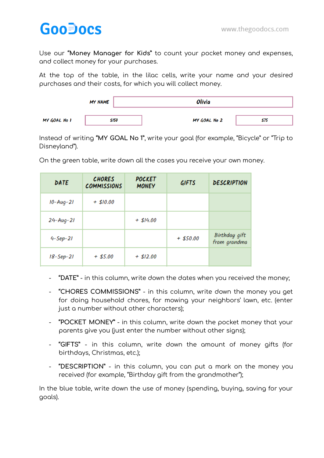## **GooDocs**

Use our **"Money Manager for Kids"** to count your pocket money and expenses, and collect money for your purchases.

At the top of the table, in the lilac cells, write your name and your desired purchases and their costs, for which you will collect money.



Instead of writing **"MY GOAL No 1"**, write your goal (for example, "Bicycle" or "Trip to Disneyland").

| DATE            | <b>CHORES</b><br><b>COMMISSIONS</b> | <b>POCKET</b><br><b>MONEY</b> | <b>GIFTS</b> | <b>DESCRIPTION</b>            |
|-----------------|-------------------------------------|-------------------------------|--------------|-------------------------------|
| $10 - Aug - 21$ | $+$ \$10.00                         |                               |              |                               |
| $24 - Aug - 21$ |                                     | $+$ \$14.00                   |              |                               |
| $4 - Sep - 21$  |                                     |                               | $+$ \$50.00  | Birthday gift<br>from grandma |
| $18 - Sep - 21$ | $+$ \$5.00                          | $+$ \$12.00                   |              |                               |

On the green table, write down all the cases you receive your own money.

- **"DATE"** in this column, write down the dates when you received the money;
- **"CHORES COMMISSIONS"** in this column, write down the money you get for doing household chores, for mowing your neighbors' lawn, etc. (enter just a number without other characters);
- **"POCKET MONEY"** in this column, write down the pocket money that your parents give you (just enter the number without other signs);
- **"GIFTS"** in this column, write down the amount of money gifts (for birthdays, Christmas, etc.);
- **"DESCRIPTION"** in this column, you can put a mark on the money you received (for example, "Birthday gift from the grandmother");

In the blue table, write down the use of money (spending, buying, saving for your goals).